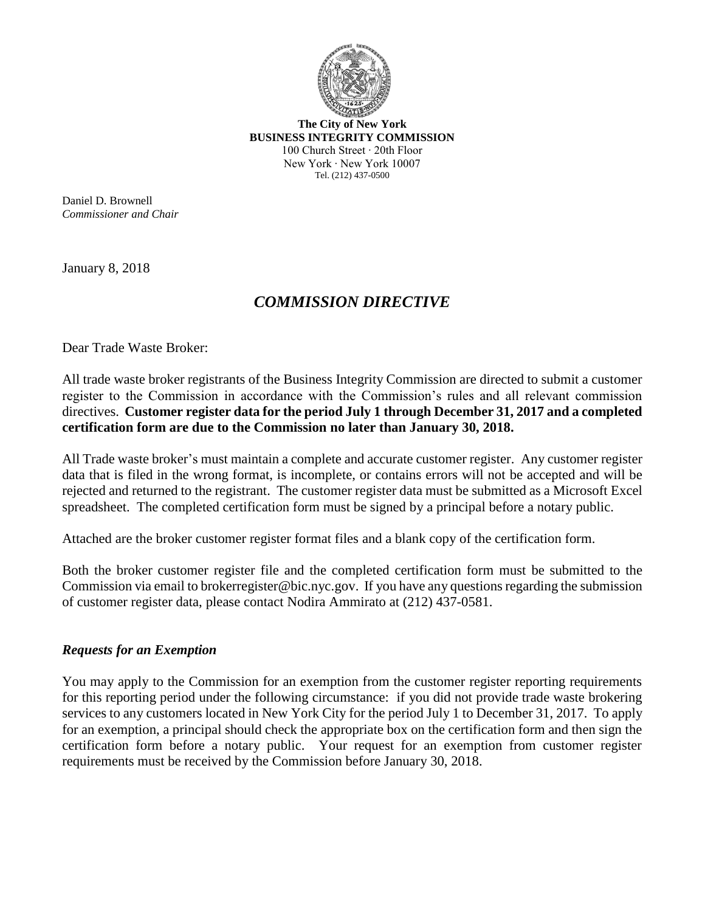

**The City of New York BUSINESS INTEGRITY COMMISSION** 100 Church Street ∙ 20th Floor New York ∙ New York 10007 Tel. (212) 437-0500

Daniel D. Brownell *Commissioner and Chair*

January 8, 2018

## *COMMISSION DIRECTIVE*

Dear Trade Waste Broker:

All trade waste broker registrants of the Business Integrity Commission are directed to submit a customer register to the Commission in accordance with the Commission's rules and all relevant commission directives. **Customer register data for the period July 1 through December 31, 2017 and a completed certification form are due to the Commission no later than January 30, 2018.**

All Trade waste broker's must maintain a complete and accurate customer register. Any customer register data that is filed in the wrong format, is incomplete, or contains errors will not be accepted and will be rejected and returned to the registrant. The customer register data must be submitted as a Microsoft Excel spreadsheet. The completed certification form must be signed by a principal before a notary public.

Attached are the broker customer register format files and a blank copy of the certification form.

Both the broker customer register file and the completed certification form must be submitted to the Commission via email t[o brokerregister@bic.nyc.gov.](mailto:brokerregister@bic.nyc.gov) If you have any questions regarding the submission of customer register data, please contact Nodira Ammirato at (212) 437-0581.

## *Requests for an Exemption*

You may apply to the Commission for an exemption from the customer register reporting requirements for this reporting period under the following circumstance: if you did not provide trade waste brokering services to any customers located in New York City for the period July 1 to December 31, 2017. To apply for an exemption, a principal should check the appropriate box on the certification form and then sign the certification form before a notary public. Your request for an exemption from customer register requirements must be received by the Commission before January 30, 2018.